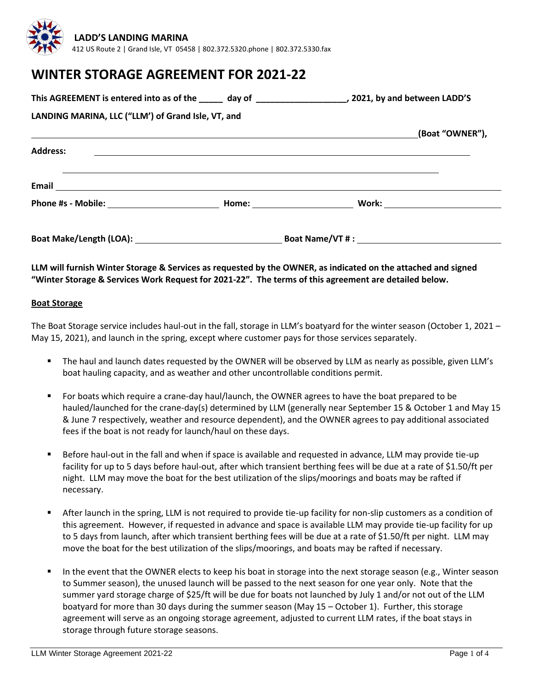

# **WINTER STORAGE AGREEMENT FOR 2021-22**

| This AGREEMENT is entered into as of the _____ day of ___________________________, 2021, by and between LADD'S |                                                                                                                       |  |                 |
|----------------------------------------------------------------------------------------------------------------|-----------------------------------------------------------------------------------------------------------------------|--|-----------------|
| LANDING MARINA, LLC ("LLM') of Grand Isle, VT, and                                                             |                                                                                                                       |  |                 |
|                                                                                                                |                                                                                                                       |  | (Boat "OWNER"), |
| <b>Address:</b>                                                                                                | <u> 1980 - Andrea Andrea Andrea Andrea Andrea Andrea Andrea Andrea Andrea Andrea Andrea Andrea Andrea Andrea Andr</u> |  |                 |
|                                                                                                                |                                                                                                                       |  |                 |
|                                                                                                                |                                                                                                                       |  |                 |
|                                                                                                                |                                                                                                                       |  |                 |

# **LLM will furnish Winter Storage & Services as requested by the OWNER, as indicated on the attached and signed "Winter Storage & Services Work Request for 2021-22". The terms of this agreement are detailed below.**

#### **Boat Storage**

The Boat Storage service includes haul-out in the fall, storage in LLM's boatyard for the winter season (October 1, 2021 – May 15, 2021), and launch in the spring, except where customer pays for those services separately.

- The haul and launch dates requested by the OWNER will be observed by LLM as nearly as possible, given LLM's boat hauling capacity, and as weather and other uncontrollable conditions permit.
- For boats which require a crane-day haul/launch, the OWNER agrees to have the boat prepared to be hauled/launched for the crane-day(s) determined by LLM (generally near September 15 & October 1 and May 15 & June 7 respectively, weather and resource dependent), and the OWNER agrees to pay additional associated fees if the boat is not ready for launch/haul on these days.
- Before haul-out in the fall and when if space is available and requested in advance, LLM may provide tie-up facility for up to 5 days before haul-out, after which transient berthing fees will be due at a rate of \$1.50/ft per night. LLM may move the boat for the best utilization of the slips/moorings and boats may be rafted if necessary.
- After launch in the spring, LLM is not required to provide tie-up facility for non-slip customers as a condition of this agreement. However, if requested in advance and space is available LLM may provide tie-up facility for up to 5 days from launch, after which transient berthing fees will be due at a rate of \$1.50/ft per night. LLM may move the boat for the best utilization of the slips/moorings, and boats may be rafted if necessary.
- In the event that the OWNER elects to keep his boat in storage into the next storage season (e.g., Winter season to Summer season), the unused launch will be passed to the next season for one year only. Note that the summer yard storage charge of \$25/ft will be due for boats not launched by July 1 and/or not out of the LLM boatyard for more than 30 days during the summer season (May 15 – October 1). Further, this storage agreement will serve as an ongoing storage agreement, adjusted to current LLM rates, if the boat stays in storage through future storage seasons.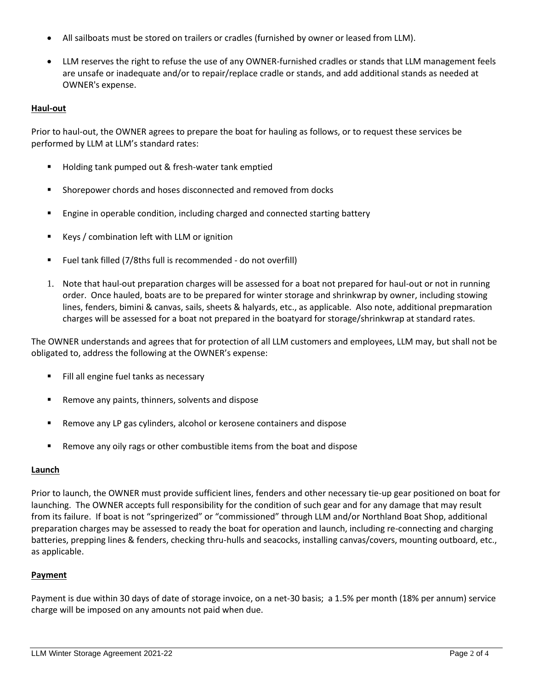- All sailboats must be stored on trailers or cradles (furnished by owner or leased from LLM).
- LLM reserves the right to refuse the use of any OWNER-furnished cradles or stands that LLM management feels are unsafe or inadequate and/or to repair/replace cradle or stands, and add additional stands as needed at OWNER's expense.

## **Haul-out**

Prior to haul-out, the OWNER agrees to prepare the boat for hauling as follows, or to request these services be performed by LLM at LLM's standard rates:

- Holding tank pumped out & fresh-water tank emptied
- Shorepower chords and hoses disconnected and removed from docks
- Engine in operable condition, including charged and connected starting battery
- Keys / combination left with LLM or ignition
- Fuel tank filled (7/8ths full is recommended do not overfill)
- 1. Note that haul-out preparation charges will be assessed for a boat not prepared for haul-out or not in running order. Once hauled, boats are to be prepared for winter storage and shrinkwrap by owner, including stowing lines, fenders, bimini & canvas, sails, sheets & halyards, etc., as applicable. Also note, additional prepmaration charges will be assessed for a boat not prepared in the boatyard for storage/shrinkwrap at standard rates.

The OWNER understands and agrees that for protection of all LLM customers and employees, LLM may, but shall not be obligated to, address the following at the OWNER's expense:

- Fill all engine fuel tanks as necessary
- Remove any paints, thinners, solvents and dispose
- Remove any LP gas cylinders, alcohol or kerosene containers and dispose
- Remove any oily rags or other combustible items from the boat and dispose

#### **Launch**

Prior to launch, the OWNER must provide sufficient lines, fenders and other necessary tie-up gear positioned on boat for launching. The OWNER accepts full responsibility for the condition of such gear and for any damage that may result from its failure. If boat is not "springerized" or "commissioned" through LLM and/or Northland Boat Shop, additional preparation charges may be assessed to ready the boat for operation and launch, including re-connecting and charging batteries, prepping lines & fenders, checking thru-hulls and seacocks, installing canvas/covers, mounting outboard, etc., as applicable.

#### **Payment**

Payment is due within 30 days of date of storage invoice, on a net-30 basis; a 1.5% per month (18% per annum) service charge will be imposed on any amounts not paid when due.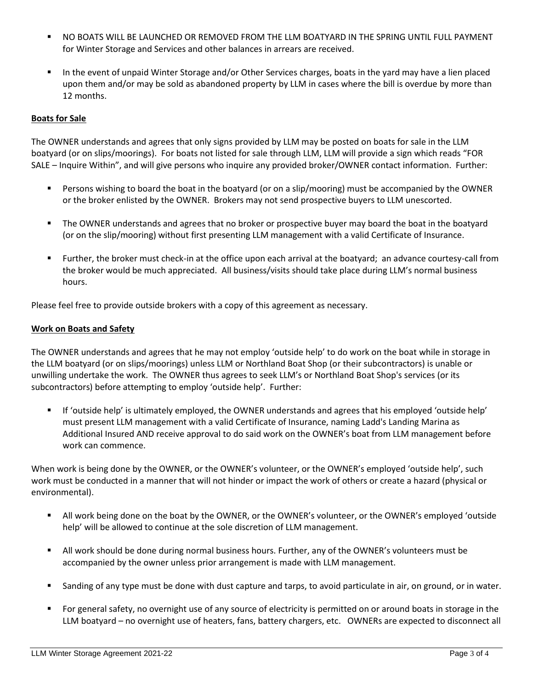- NO BOATS WILL BE LAUNCHED OR REMOVED FROM THE LLM BOATYARD IN THE SPRING UNTIL FULL PAYMENT for Winter Storage and Services and other balances in arrears are received.
- In the event of unpaid Winter Storage and/or Other Services charges, boats in the yard may have a lien placed upon them and/or may be sold as abandoned property by LLM in cases where the bill is overdue by more than 12 months.

## **Boats for Sale**

The OWNER understands and agrees that only signs provided by LLM may be posted on boats for sale in the LLM boatyard (or on slips/moorings). For boats not listed for sale through LLM, LLM will provide a sign which reads "FOR SALE – Inquire Within", and will give persons who inquire any provided broker/OWNER contact information. Further:

- Persons wishing to board the boat in the boatyard (or on a slip/mooring) must be accompanied by the OWNER or the broker enlisted by the OWNER. Brokers may not send prospective buyers to LLM unescorted.
- The OWNER understands and agrees that no broker or prospective buyer may board the boat in the boatyard (or on the slip/mooring) without first presenting LLM management with a valid Certificate of Insurance.
- Further, the broker must check-in at the office upon each arrival at the boatyard; an advance courtesy-call from the broker would be much appreciated. All business/visits should take place during LLM's normal business hours.

Please feel free to provide outside brokers with a copy of this agreement as necessary.

## **Work on Boats and Safety**

The OWNER understands and agrees that he may not employ 'outside help' to do work on the boat while in storage in the LLM boatyard (or on slips/moorings) unless LLM or Northland Boat Shop (or their subcontractors) is unable or unwilling undertake the work. The OWNER thus agrees to seek LLM's or Northland Boat Shop's services (or its subcontractors) before attempting to employ 'outside help'. Further:

■ If 'outside help' is ultimately employed, the OWNER understands and agrees that his employed 'outside help' must present LLM management with a valid Certificate of Insurance, naming Ladd's Landing Marina as Additional Insured AND receive approval to do said work on the OWNER's boat from LLM management before work can commence.

When work is being done by the OWNER, or the OWNER's volunteer, or the OWNER's employed 'outside help', such work must be conducted in a manner that will not hinder or impact the work of others or create a hazard (physical or environmental).

- All work being done on the boat by the OWNER, or the OWNER's volunteer, or the OWNER's employed 'outside help' will be allowed to continue at the sole discretion of LLM management.
- All work should be done during normal business hours. Further, any of the OWNER's volunteers must be accompanied by the owner unless prior arrangement is made with LLM management.
- Sanding of any type must be done with dust capture and tarps, to avoid particulate in air, on ground, or in water.
- For general safety, no overnight use of any source of electricity is permitted on or around boats in storage in the LLM boatyard – no overnight use of heaters, fans, battery chargers, etc. OWNERs are expected to disconnect all